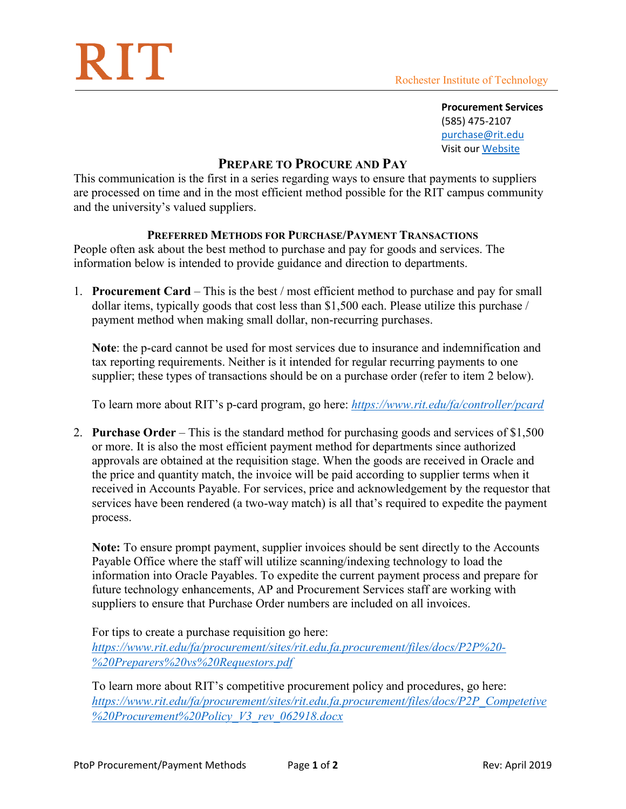## RIT

**Procurement Services**  (585) 475-2107 [purchase@rit.edu](mailto:purchase@rit.edu) Visit ou[r Website](http://www.rit.edu/fa/procurement/)

## **PREPARE TO PROCURE AND PAY**

This communication is the first in a series regarding ways to ensure that payments to suppliers are processed on time and in the most efficient method possible for the RIT campus community and the university's valued suppliers.

## **PREFERRED METHODS FOR PURCHASE/PAYMENT TRANSACTIONS**

People often ask about the best method to purchase and pay for goods and services. The information below is intended to provide guidance and direction to departments.

1. **Procurement Card** – This is the best / most efficient method to purchase and pay for small dollar items, typically goods that cost less than \$1,500 each. Please utilize this purchase / payment method when making small dollar, non-recurring purchases.

**Note**: the p-card cannot be used for most services due to insurance and indemnification and tax reporting requirements. Neither is it intended for regular recurring payments to one supplier; these types of transactions should be on a purchase order (refer to item 2 below).

To learn more about RIT's p-card program, go here: *<https://www.rit.edu/fa/controller/pcard>*

2. **Purchase Order** – This is the standard method for purchasing goods and services of \$1,500 or more. It is also the most efficient payment method for departments since authorized approvals are obtained at the requisition stage. When the goods are received in Oracle and the price and quantity match, the invoice will be paid according to supplier terms when it received in Accounts Payable. For services, price and acknowledgement by the requestor that services have been rendered (a two-way match) is all that's required to expedite the payment process.

**Note:** To ensure prompt payment, supplier invoices should be sent directly to the Accounts Payable Office where the staff will utilize scanning/indexing technology to load the information into Oracle Payables. To expedite the current payment process and prepare for future technology enhancements, AP and Procurement Services staff are working with suppliers to ensure that Purchase Order numbers are included on all invoices.

For tips to create a purchase requisition go here: *[https://www.rit.edu/fa/procurement/sites/rit.edu.fa.procurement/files/docs/P2P%20-](https://www.rit.edu/fa/procurement/sites/rit.edu.fa.procurement/files/docs/P2P%20-%20Preparers%20vs%20Requestors.pdf) [%20Preparers%20vs%20Requestors.pdf](https://www.rit.edu/fa/procurement/sites/rit.edu.fa.procurement/files/docs/P2P%20-%20Preparers%20vs%20Requestors.pdf)*

To learn more about RIT's competitive procurement policy and procedures, go here: *[https://www.rit.edu/fa/procurement/sites/rit.edu.fa.procurement/files/docs/P2P\\_Competetive](https://www.rit.edu/fa/procurement/sites/rit.edu.fa.procurement/files/docs/P2P_Competetive%20Procurement%20Policy_V3_rev_062918.docx) [%20Procurement%20Policy\\_V3\\_rev\\_062918.docx](https://www.rit.edu/fa/procurement/sites/rit.edu.fa.procurement/files/docs/P2P_Competetive%20Procurement%20Policy_V3_rev_062918.docx)*